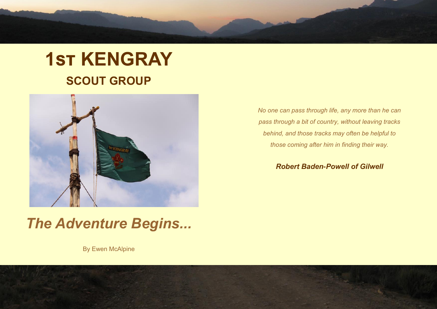# **1st KENGRAY SCOUT GROUP**



*The Adventure Begins...*

By Ewen McAlpine

*No one can pass through life, any more than he can pass through a bit of country, without leaving tracks behind, and those tracks may often be helpful to those coming after him in finding their way.*

*Robert Baden-Powell of Gilwell*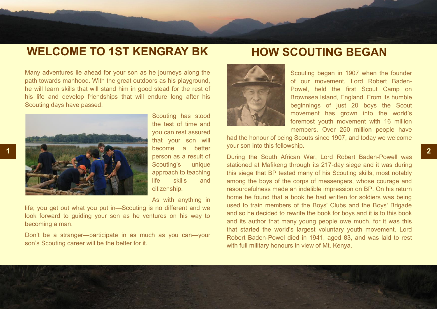## **WELCOME TO 1ST KENGRAY BK**

### **HOW SCOUTING BEGAN**

Many adventures lie ahead for your son as he journeys along the path towards manhood. With the great outdoors as his playground, he will learn skills that will stand him in good stead for the rest of his life and develop friendships that will endure long after his Scouting days have passed.



Scouting has stood the test of time and you can rest assured that your son will become a better person as a result of Scouting's unique approach to teaching life skills and citizenship.

As with anything in

life; you get out what you put in—Scouting is no different and we look forward to guiding your son as he ventures on his way to becoming a man.

Don't be a stranger—participate in as much as you can—your son's Scouting career will be the better for it.



Scouting began in 1907 when the founder of our movement, Lord Robert Baden-Powel, held the first Scout Camp on Brownsea Island, England. From its humble beginnings of just 20 boys the Scout movement has grown into the world's foremost youth movement with 16 million members. Over 250 million people have

had the honour of being Scouts since 1907, and today we welcome your son into this fellowship.

During the South African War, Lord Robert Baden-Powell was stationed at Mafikeng through its 217-day siege and it was during this siege that BP tested many of his Scouting skills, most notably among the boys of the corps of messengers, whose courage and resourcefulness made an indelible impression on BP. On his return home he found that a book he had written for soldiers was being used to train members of the Boys' Clubs and the Boys' Brigade and so he decided to rewrite the book for boys and it is to this book and its author that many young people owe much, for it was this that started the world's largest voluntary youth movement. Lord Robert Baden-Powel died in 1941, aged 83, and was laid to rest with full military honours in view of Mt. Kenya.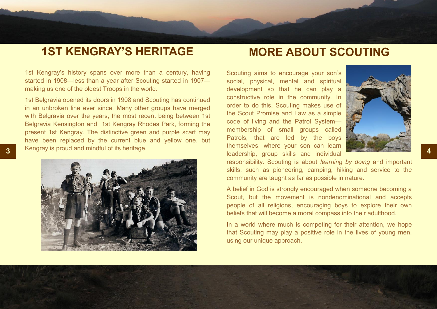### **1ST KENGRAY'S HERITAGE**

### **MORE ABOUT SCOUTING**

1st Kengray's history spans over more than a century, having started in 1908—less than a year after Scouting started in 1907 making us one of the oldest Troops in the world.

1st Belgravia opened its doors in 1908 and Scouting has continued in an unbroken line ever since. Many other groups have merged with Belgravia over the years, the most recent being between 1st Belgravia Kensington and 1st Kengray Rhodes Park, forming the present 1st Kengray. The distinctive green and purple scarf may have been replaced by the current blue and yellow one, but Kengray is proud and mindful of its heritage.



**3 4** leadership, group skills and individual Scouting aims to encourage your son's social, physical, mental and spiritual development so that he can play a constructive role in the community. In order to do this, Scouting makes use of the Scout Promise and Law as a simple code of living and the Patrol System membership of small groups called Patrols, that are led by the boys themselves, where your son can learn



responsibility. Scouting is about *learning by doing* and important skills, such as pioneering, camping, hiking and service to the community are taught as far as possible in nature.

A belief in God is strongly encouraged when someone becoming a Scout, but the movement is nondenominational and accepts people of all religions, encouraging boys to explore their own beliefs that will become a moral compass into their adulthood.

In a world where much is competing for their attention, we hope that Scouting may play a positive role in the lives of young men, using our unique approach.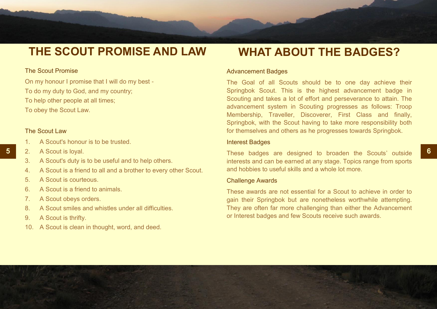# **THE SCOUT PROMISE AND LAW**

### The Scout Promise

On my honour I promise that I will do my best - To do my duty to God, and my country; To help other people at all times; To obey the Scout Law.

### The Scout Law

- 1. A Scout's honour is to be trusted.
- 2. A Scout is loyal.
- 3. A Scout's duty is to be useful and to help others.
- 4. A Scout is a friend to all and a brother to every other Scout.
- 5. A Scout is courteous.
- 6. A Scout is a friend to animals.
- 7. A Scout obeys orders.
- 8. A Scout smiles and whistles under all difficulties.
- 9. A Scout is thrifty.
- 10. A Scout is clean in thought, word, and deed.

### **WHAT ABOUT THE BADGES?**

#### Advancement Badges

The Goal of all Scouts should be to one day achieve their Springbok Scout. This is the highest advancement badge in Scouting and takes a lot of effort and perseverance to attain. The advancement system in Scouting progresses as follows: Troop Membership, Traveller, Discoverer, First Class and finally, Springbok, with the Scout having to take more responsibility both for themselves and others as he progresses towards Springbok.

### Interest Badges

**5 6** These badges are designed to broaden the Scouts' outside interests and can be earned at any stage. Topics range from sports and hobbies to useful skills and a whole lot more.

#### Challenge Awards

These awards are not essential for a Scout to achieve in order to gain their Springbok but are nonetheless worthwhile attempting. They are often far more challenging than either the Advancement or Interest badges and few Scouts receive such awards.

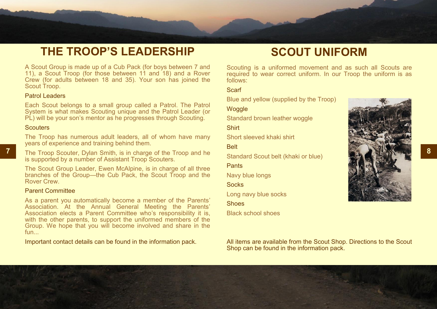# **THE TROOP'S LEADERSHIP**

A Scout Group is made up of a Cub Pack (for boys between 7 and 11), a Scout Troop (for those between 11 and 18) and a Rover Crew (for adults between 18 and 35). Your son has joined the Scout Troop.

### Patrol Leaders

Each Scout belongs to a small group called a Patrol. The Patrol System is what makes Scouting unique and the Patrol Leader (or PL) will be your son's mentor as he progresses through Scouting.

### **Scouters**

The Troop has numerous adult leaders, all of whom have many years of experience and training behind them.

**7** The Troop Scouter, Dylan Smith, is in charge of the Troop and he **Standard Scout bolt (khoki or blue) 1999** is supported by a number of Assistant Troop Scouters.

The Scout Group Leader, Ewen McAlpine, is in charge of all three branches of the Group—the Cub Pack, the Scout Troop and the Rover Crew.

#### Parent Committee

As a parent you automatically become a member of the Parents' Association. At the Annual General Meeting the Parents' Association elects a Parent Committee who's responsibility it is, with the other parents, to support the uniformed members of the Group. We hope that you will become involved and share in the fun...

Important contact details can be found in the information pack.

### **SCOUT UNIFORM**

Scouting is a uniformed movement and as such all Scouts are required to wear correct uniform. In our Troop the uniform is as follows:

**Scarf** 

Blue and yellow (supplied by the Troop)

### **Woggle**

Standard brown leather woggle

Shirt

Short sleeved khaki shirt

**Belt** 

Standard Scout belt (khaki or blue)

#### **Pants**

Navy blue longs

Socks

Long navy blue socks

**Shoes** 

Black school shoes



All items are available from the Scout Shop. Directions to the Scout Shop can be found in the information pack.